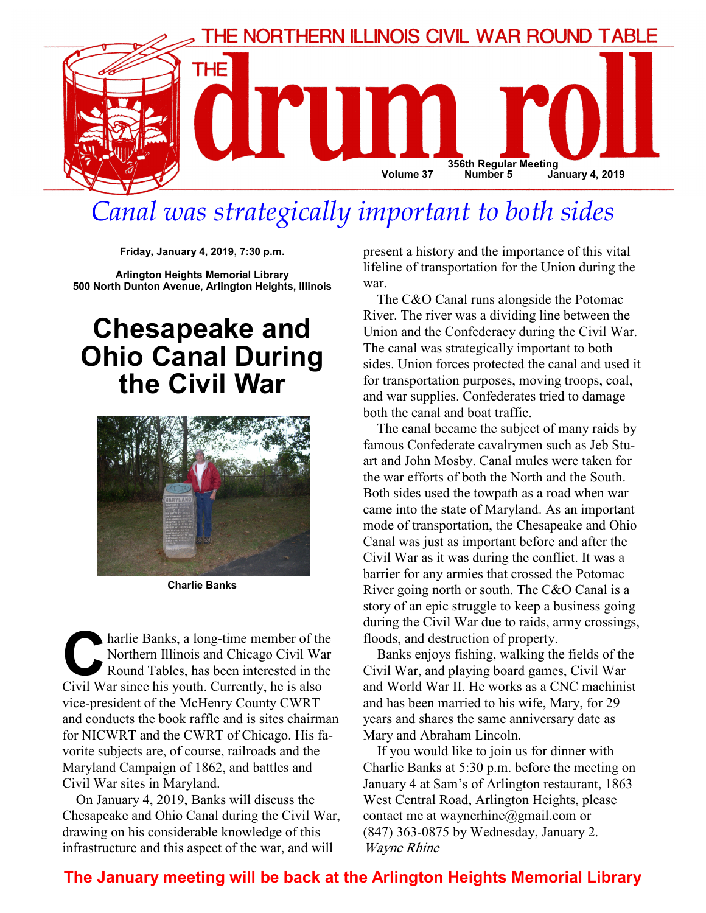

## Canal was strategically important to both sides

Friday, January 4, 2019, 7:30 p.m.

Arlington Heights Memorial Library 500 North Dunton Avenue, Arlington Heights, Illinois

## Chesapeake and Ohio Canal During the Civil War



Charlie Banks

harlie Banks, a long-time member of the<br>Northern Illinois and Chicago Civil War<br>Round Tables, has been interested in the<br>Civil War since his youth Currently he is also Northern Illinois and Chicago Civil War Round Tables, has been interested in the Civil War since his youth. Currently, he is also vice-president of the McHenry County CWRT and conducts the book raffle and is sites chairman for NICWRT and the CWRT of Chicago. His favorite subjects are, of course, railroads and the Maryland Campaign of 1862, and battles and Civil War sites in Maryland.

On January 4, 2019, Banks will discuss the Chesapeake and Ohio Canal during the Civil War, drawing on his considerable knowledge of this infrastructure and this aspect of the war, and will

present a history and the importance of this vital lifeline of transportation for the Union during the war.

The C&O Canal runs alongside the Potomac River. The river was a dividing line between the Union and the Confederacy during the Civil War. The canal was strategically important to both sides. Union forces protected the canal and used it for transportation purposes, moving troops, coal, and war supplies. Confederates tried to damage both the canal and boat traffic.

The canal became the subject of many raids by famous Confederate cavalrymen such as Jeb Stuart and John Mosby. Canal mules were taken for the war efforts of both the North and the South. Both sides used the towpath as a road when war came into the state of Maryland. As an important mode of transportation, the Chesapeake and Ohio Canal was just as important before and after the Civil War as it was during the conflict. It was a barrier for any armies that crossed the Potomac River going north or south. The C&O Canal is a story of an epic struggle to keep a business going during the Civil War due to raids, army crossings, floods, and destruction of property.

Banks enjoys fishing, walking the fields of the Civil War, and playing board games, Civil War and World War II. He works as a CNC machinist and has been married to his wife, Mary, for 29 years and shares the same anniversary date as Mary and Abraham Lincoln.

If you would like to join us for dinner with Charlie Banks at 5:30 p.m. before the meeting on January 4 at Sam's of Arlington restaurant, 1863 West Central Road, Arlington Heights, please contact me at waynerhine@gmail.com or (847) 363-0875 by Wednesday, January 2. — Wayne Rhine

## The January meeting will be back at the Arlington Heights Memorial Library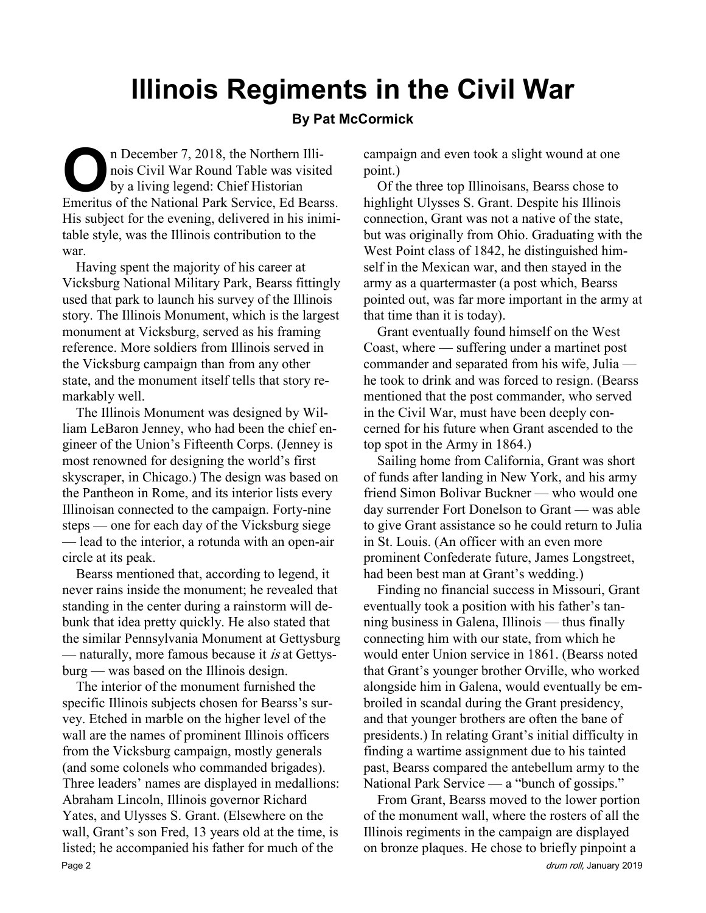## Illinois Regiments in the Civil War

### By Pat McCormick

**O n December 7, 2018, the Northern Illi-**<br>nois Civil War Round Table was visite<br>by a living legend: Chief Historian<br>Emeritus of the National Park Service Ed Bear nois Civil War Round Table was visited by a living legend: Chief Historian Emeritus of the National Park Service, Ed Bearss. His subject for the evening, delivered in his inimitable style, was the Illinois contribution to the war.

Having spent the majority of his career at Vicksburg National Military Park, Bearss fittingly used that park to launch his survey of the Illinois story. The Illinois Monument, which is the largest monument at Vicksburg, served as his framing reference. More soldiers from Illinois served in the Vicksburg campaign than from any other state, and the monument itself tells that story remarkably well.

The Illinois Monument was designed by William LeBaron Jenney, who had been the chief engineer of the Union's Fifteenth Corps. (Jenney is most renowned for designing the world's first skyscraper, in Chicago.) The design was based on the Pantheon in Rome, and its interior lists every Illinoisan connected to the campaign. Forty-nine steps — one for each day of the Vicksburg siege — lead to the interior, a rotunda with an open-air circle at its peak.

Bearss mentioned that, according to legend, it never rains inside the monument; he revealed that standing in the center during a rainstorm will debunk that idea pretty quickly. He also stated that the similar Pennsylvania Monument at Gettysburg — naturally, more famous because it is at Gettysburg — was based on the Illinois design.

The interior of the monument furnished the specific Illinois subjects chosen for Bearss's survey. Etched in marble on the higher level of the wall are the names of prominent Illinois officers from the Vicksburg campaign, mostly generals (and some colonels who commanded brigades). Three leaders' names are displayed in medallions: Abraham Lincoln, Illinois governor Richard Yates, and Ulysses S. Grant. (Elsewhere on the wall, Grant's son Fred, 13 years old at the time, is listed; he accompanied his father for much of the Page 2 drum roll, January 2019

campaign and even took a slight wound at one point.)

Of the three top Illinoisans, Bearss chose to highlight Ulysses S. Grant. Despite his Illinois connection, Grant was not a native of the state, but was originally from Ohio. Graduating with the West Point class of 1842, he distinguished himself in the Mexican war, and then stayed in the army as a quartermaster (a post which, Bearss pointed out, was far more important in the army at that time than it is today).

Grant eventually found himself on the West Coast, where — suffering under a martinet post commander and separated from his wife, Julia he took to drink and was forced to resign. (Bearss mentioned that the post commander, who served in the Civil War, must have been deeply concerned for his future when Grant ascended to the top spot in the Army in 1864.)

Sailing home from California, Grant was short of funds after landing in New York, and his army friend Simon Bolivar Buckner — who would one day surrender Fort Donelson to Grant — was able to give Grant assistance so he could return to Julia in St. Louis. (An officer with an even more prominent Confederate future, James Longstreet, had been best man at Grant's wedding.)

Finding no financial success in Missouri, Grant eventually took a position with his father's tanning business in Galena, Illinois — thus finally connecting him with our state, from which he would enter Union service in 1861. (Bearss noted that Grant's younger brother Orville, who worked alongside him in Galena, would eventually be embroiled in scandal during the Grant presidency, and that younger brothers are often the bane of presidents.) In relating Grant's initial difficulty in finding a wartime assignment due to his tainted past, Bearss compared the antebellum army to the National Park Service — a "bunch of gossips."

From Grant, Bearss moved to the lower portion of the monument wall, where the rosters of all the Illinois regiments in the campaign are displayed on bronze plaques. He chose to briefly pinpoint a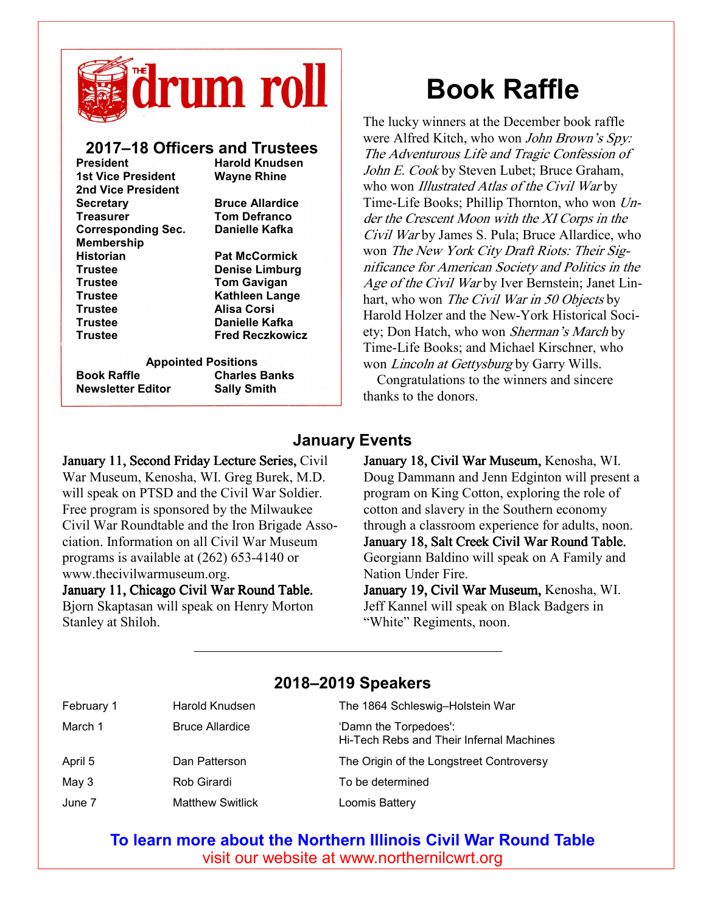

### 2017–18 Officers and Trustees

| <b>President</b>          | <b>Harold Knudsen</b>                |
|---------------------------|--------------------------------------|
| <b>1st Vice President</b> | <b>Wayne Rhine</b>                   |
| 2nd Vice President        |                                      |
| <b>Secretary</b>          | <b>Bruce Allardice</b>               |
| <b>Treasurer</b>          | <b>Tom Defranco</b>                  |
| <b>Corresponding Sec.</b> | Danielle Kafka                       |
| <b>Membership</b>         |                                      |
| <b>Historian</b>          | <b>Pat McCormick</b>                 |
| <b>Trustee</b>            | <b>Denise Limburg</b>                |
| <b>Trustee</b>            | <b>Tom Gavigan</b>                   |
| <b>Trustee</b>            | Kathleen Lange                       |
| <b>Trustee</b>            | Alisa Corsi                          |
| <b>Trustee</b>            | Danielle Kafka                       |
| <b>Trustee</b>            | <b>Fred Reczkowicz</b>               |
|                           | المستحقق والمتلاح المستحقق والمتناور |

Appointed Positions Book Raffle Charles Banks Newsletter Editor Sally Smith

# Book Raffle

The lucky winners at the December book raffle were Alfred Kitch, who won *John Brown's Spy*: The Adventurous Life and Tragic Confession of John E. Cook by Steven Lubet; Bruce Graham, who won *Illustrated Atlas of the Civil War* by Time-Life Books; Phillip Thornton, who won Under the Crescent Moon with the XI Corps in the Civil War by James S. Pula; Bruce Allardice, who won The New York City Draft Riots: Their Significance for American Society and Politics in the Age of the Civil War by Iver Bernstein; Janet Linhart, who won The Civil War in 50 Objects by Harold Holzer and the New-York Historical Society; Don Hatch, who won Sherman's March by Time-Life Books; and Michael Kirschner, who won Lincoln at Gettysburg by Garry Wills.

Congratulations to the winners and sincere thanks to the donors.

## January Events

January 11, Second Friday Lecture Series, Civil War Museum, Kenosha, WI. Greg Burek, M.D. will speak on PTSD and the Civil War Soldier. Free program is sponsored by the Milwaukee Civil War Roundtable and the Iron Brigade Association. Information on all Civil War Museum programs is available at (262) 653-4140 or www.thecivilwarmuseum.org.

January 11, Chicago Civil War Round Table. Bjorn Skaptasan will speak on Henry Morton Stanley at Shiloh.

January 18, Civil War Museum, Kenosha, WI. Doug Dammann and Jenn Edginton will present a program on King Cotton, exploring the role of cotton and slavery in the Southern economy through a classroom experience for adults, noon. January 18, Salt Creek Civil War Round Table. Georgiann Baldino will speak on A Family and Nation Under Fire.

January 19, Civil War Museum, Kenosha, WI. Jeff Kannel will speak on Black Badgers in "White" Regiments, noon.

| February 1 | Harold Knudsen          | The 1864 Schleswig-Holstein War                                   |
|------------|-------------------------|-------------------------------------------------------------------|
| March 1    | <b>Bruce Allardice</b>  | 'Damn the Torpedoes':<br>Hi-Tech Rebs and Their Infernal Machines |
| April 5    | Dan Patterson           | The Origin of the Longstreet Controversy                          |
| May 3      | Rob Girardi             | To be determined                                                  |
| June 7     | <b>Matthew Switlick</b> | Loomis Battery                                                    |

## 2018–2019 Speakers

To learn more about the Northern Illinois Civil War Round Table visit our website at www.northernilcwrt.org